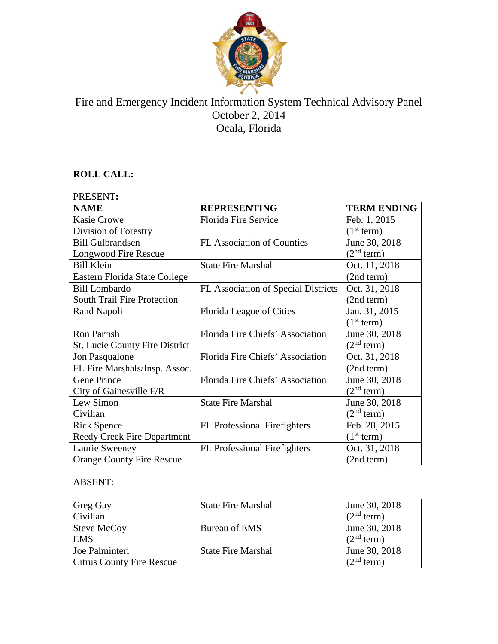

# Fire and Emergency Incident Information System Technical Advisory Panel October 2, 2014 Ocala, Florida

## **ROLL CALL:**

| PRESENT:                           |                                     |                        |
|------------------------------------|-------------------------------------|------------------------|
| <b>NAME</b>                        | <b>REPRESENTING</b>                 | <b>TERM ENDING</b>     |
| <b>Kasie Crowe</b>                 | Florida Fire Service                | Feb. 1, 2015           |
| Division of Forestry               |                                     | (1 <sup>st</sup> term) |
| <b>Bill Gulbrandsen</b>            | FL Association of Counties          | June 30, 2018          |
| Longwood Fire Rescue               |                                     | (2 <sup>nd</sup> term) |
| <b>Bill Klein</b>                  | <b>State Fire Marshal</b>           | Oct. 11, 2018          |
| Eastern Florida State College      |                                     | (2nd term)             |
| <b>Bill Lombardo</b>               | FL Association of Special Districts | Oct. 31, 2018          |
| <b>South Trail Fire Protection</b> |                                     | (2nd term)             |
| Rand Napoli                        | Florida League of Cities            | Jan. 31, 2015          |
|                                    |                                     | (1 <sup>st</sup> term) |
| <b>Ron Parrish</b>                 | Florida Fire Chiefs' Association    | June 30, 2018          |
| St. Lucie County Fire District     |                                     | (2 <sup>nd</sup> term) |
| Jon Pasqualone                     | Florida Fire Chiefs' Association    | Oct. 31, 2018          |
| FL Fire Marshals/Insp. Assoc.      |                                     | (2nd term)             |
| <b>Gene Prince</b>                 | Florida Fire Chiefs' Association    | June 30, 2018          |
| City of Gainesville F/R            |                                     | (2 <sup>nd</sup> term) |
| Lew Simon                          | <b>State Fire Marshal</b>           | June 30, 2018          |
| Civilian                           |                                     | (2 <sup>nd</sup> term) |
| <b>Rick Spence</b>                 | <b>FL</b> Professional Firefighters | Feb. 28, 2015          |
| <b>Reedy Creek Fire Department</b> |                                     | (1 <sup>st</sup> term) |
| Laurie Sweeney                     | <b>FL</b> Professional Firefighters | Oct. 31, 2018          |
| <b>Orange County Fire Rescue</b>   |                                     | (2nd term)             |

## ABSENT:

| Greg Gay<br>Civilian                               | <b>State Fire Marshal</b> | June 30, 2018<br>(2 <sup>nd</sup> term) |
|----------------------------------------------------|---------------------------|-----------------------------------------|
| Steve McCoy<br><b>EMS</b>                          | Bureau of EMS             | June 30, 2018<br>(2 <sup>nd</sup> term) |
| Joe Palminteri<br><b>Citrus County Fire Rescue</b> | <b>State Fire Marshal</b> | June 30, 2018<br>$2nd$ term)            |